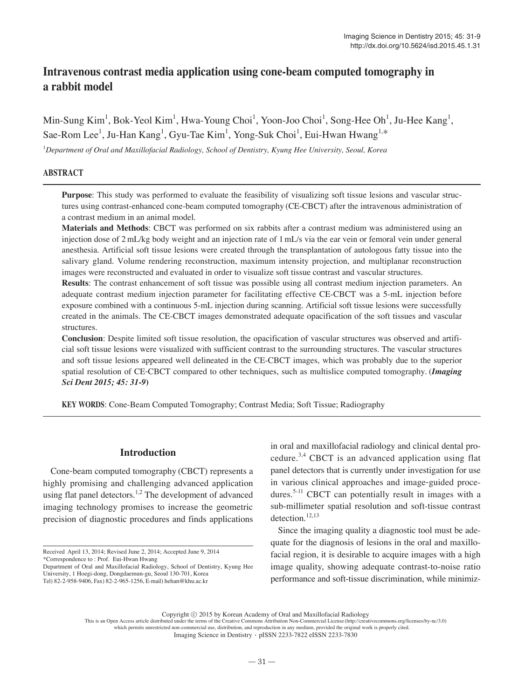# **Intravenous contrast media application using cone-beam computed tomography in a rabbit model**

Min-Sung Kim<sup>1</sup>, Bok-Yeol Kim<sup>1</sup>, Hwa-Young Choi<sup>1</sup>, Yoon-Joo Choi<sup>1</sup>, Song-Hee Oh<sup>1</sup>, Ju-Hee Kang<sup>1</sup>, Sae-Rom Lee<sup>1</sup>, Ju-Han Kang<sup>1</sup>, Gyu-Tae Kim<sup>1</sup>, Yong-Suk Choi<sup>1</sup>, Eui-Hwan Hwang<sup>1,\*</sup>

1 *Department of Oral and Maxillofacial Radiology, School of Dentistry, Kyung Hee University, Seoul, Korea*

### **ABSTRACT**

**Purpose**: This study was performed to evaluate the feasibility of visualizing soft tissue lesions and vascular structures using contrast-enhanced cone-beam computed tomography (CE-CBCT) after the intravenous administration of a contrast medium in an animal model.

**Materials and Methods**: CBCT was performed on six rabbits after a contrast medium was administered using an injection dose of 2 mL/kg body weight and an injection rate of 1 mL/s via the ear vein or femoral vein under general anesthesia. Artificial soft tissue lesions were created through the transplantation of autologous fatty tissue into the salivary gland. Volume rendering reconstruction, maximum intensity projection, and multiplanar reconstruction images were reconstructed and evaluated in order to visualize soft tissue contrast and vascular structures.

**Results**: The contrast enhancement of soft tissue was possible using all contrast medium injection parameters. An adequate contrast medium injection parameter for facilitating effective CE-CBCT was a 5-mL injection before exposure combined with a continuous 5-mL injection during scanning. Artificial soft tissue lesions were successfully created in the animals. The CE-CBCT images demonstrated adequate opacification of the soft tissues and vascular structures.

**Conclusion**: Despite limited soft tissue resolution, the opacification of vascular structures was observed and artificial soft tissue lesions were visualized with sufficient contrast to the surrounding structures. The vascular structures and soft tissue lesions appeared well delineated in the CE-CBCT images, which was probably due to the superior spatial resolution of CE-CBCT compared to other techniques, such as multislice computed tomography. (*Imaging Sci Dent 2015; 45: 31-9***)**

**KEY WORDS**: Cone-Beam Computed Tomography; Contrast Media; Soft Tissue; Radiography

### **Introduction**

Cone-beam computed tomography (CBCT) represents a highly promising and challenging advanced application using flat panel detectors.<sup>1,2</sup> The development of advanced imaging technology promises to increase the geometric precision of diagnostic procedures and finds applications

\*Correspondence to : Prof. Eui-Hwan Hwang

in oral and maxillofacial radiology and clinical dental procedure.3,4 CBCT is an advanced application using flat panel detectors that is currently under investigation for use in various clinical approaches and image-guided procedures.<sup>5-11</sup> CBCT can potentially result in images with a sub-millimeter spatial resolution and soft-tissue contrast detection. $12,13$ 

Since the imaging quality a diagnostic tool must be adequate for the diagnosis of lesions in the oral and maxillofacial region, it is desirable to acquire images with a high image quality, showing adequate contrast-to-noise ratio performance and soft-tissue discrimination, while minimiz-

Copyright ⓒ 2015 by Korean Academy of Oral and Maxillofacial Radiology

This is an Open Access article distributed under the terms of the Creative Commons Attribution Non-Commercial License (http://creativecommons.org/licenses/by-nc/3.0) which permits unrestricted non-commercial use, distribution, and reproduction in any medium, provided the original work is properly cited.

Imaging Science in Dentistry∙pISSN 2233-7822 eISSN 2233-7830

Received April 13, 2014; Revised June 2, 2014; Accepted June 9, 2014

Department of Oral and Maxillofacial Radiology, School of Dentistry, Kyung Hee University, 1 Hoegi-dong, Dongdaemun-gu, Seoul 130-701, Korea Tel) 82-2-958-9406, Fax) 82-2-965-1256, E-mail) hehan@khu.ac.kr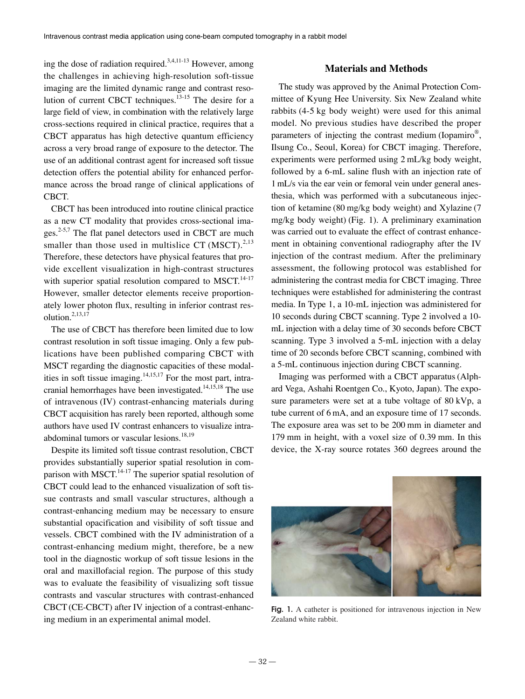ing the dose of radiation required.<sup>3,4,11-13</sup> However, among the challenges in achieving high-resolution soft-tissue imaging are the limited dynamic range and contrast resolution of current CBCT techniques.<sup>13-15</sup> The desire for a large field of view, in combination with the relatively large cross-sections required in clinical practice, requires that a CBCT apparatus has high detective quantum efficiency across a very broad range of exposure to the detector. The use of an additional contrast agent for increased soft tissue detection offers the potential ability for enhanced performance across the broad range of clinical applications of CBCT.

CBCT has been introduced into routine clinical practice as a new CT modality that provides cross-sectional images.2-5,7 The flat panel detectors used in CBCT are much smaller than those used in multislice CT (MSCT). $^{2,13}$ Therefore, these detectors have physical features that provide excellent visualization in high-contrast structures with superior spatial resolution compared to MSCT. $14-17$ However, smaller detector elements receive proportionately lower photon flux, resulting in inferior contrast resolution.2,13,17

The use of CBCT has therefore been limited due to low contrast resolution in soft tissue imaging. Only a few publications have been published comparing CBCT with MSCT regarding the diagnostic capacities of these modalities in soft tissue imaging.<sup>14,15,17</sup> For the most part, intracranial hemorrhages have been investigated.<sup>14,15,18</sup> The use of intravenous (IV) contrast-enhancing materials during CBCT acquisition has rarely been reported, although some authors have used IV contrast enhancers to visualize intraabdominal tumors or vascular lesions.<sup>18,19</sup>

Despite its limited soft tissue contrast resolution, CBCT provides substantially superior spatial resolution in comparison with MSCT. $^{14-17}$  The superior spatial resolution of CBCT could lead to the enhanced visualization of soft tissue contrasts and small vascular structures, although a contrast-enhancing medium may be necessary to ensure substantial opacification and visibility of soft tissue and vessels. CBCT combined with the IV administration of a contrast-enhancing medium might, therefore, be a new tool in the diagnostic workup of soft tissue lesions in the oral and maxillofacial region. The purpose of this study was to evaluate the feasibility of visualizing soft tissue contrasts and vascular structures with contrast-enhanced CBCT (CE-CBCT) after IV injection of a contrast-enhancing medium in an experimental animal model.

#### **Materials and Methods**

The study was approved by the Animal Protection Committee of Kyung Hee University. Six New Zealand white rabbits (4-5 kg body weight) were used for this animal model. No previous studies have described the proper parameters of injecting the contrast medium (Iopamiro®, Ilsung Co., Seoul, Korea) for CBCT imaging. Therefore, experiments were performed using 2 mL/kg body weight, followed by a 6-mL saline flush with an injection rate of 1 mL/s via the ear vein or femoral vein under general anesthesia, which was performed with a subcutaneous injection of ketamine (80 mg/kg body weight) and Xylazine (7 mg/kg body weight) (Fig. 1). A preliminary examination was carried out to evaluate the effect of contrast enhancement in obtaining conventional radiography after the IV injection of the contrast medium. After the preliminary assessment, the following protocol was established for administering the contrast media for CBCT imaging. Three techniques were established for administering the contrast media. In Type 1, a 10-mL injection was administered for 10 seconds during CBCT scanning. Type 2 involved a 10 mL injection with a delay time of 30 seconds before CBCT scanning. Type 3 involved a 5-mL injection with a delay time of 20 seconds before CBCT scanning, combined with a 5-mL continuous injection during CBCT scanning.

Imaging was performed with a CBCT apparatus (Alphard Vega, Ashahi Roentgen Co., Kyoto, Japan). The exposure parameters were set at a tube voltage of 80 kVp, a tube current of 6 mA, and an exposure time of 17 seconds. The exposure area was set to be 200 mm in diameter and 179 mm in height, with a voxel size of 0.39 mm. In this device, the X-ray source rotates 360 degrees around the



Fig. 1. A catheter is positioned for intravenous injection in New Zealand white rabbit.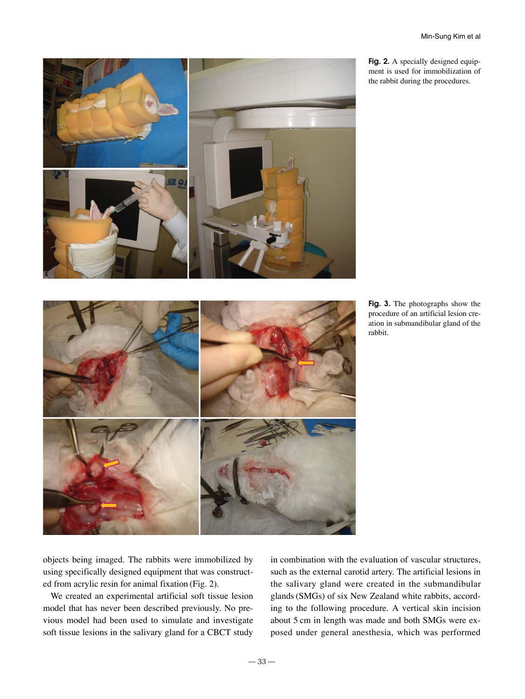

Fig. 2. A specially designed equipment is used for immobilization of the rabbit during the procedures.

objects being imaged. The rabbits were immobilized by using specifically designed equipment that was constructed from acrylic resin for animal fixation (Fig. 2).

We created an experimental artificial soft tissue lesion model that has never been described previously. No previous model had been used to simulate and investigate soft tissue lesions in the salivary gland for a CBCT study

in combination with the evaluation of vascular structures, such as the external carotid artery. The artificial lesions in the salivary gland were created in the submandibular glands (SMGs) of six New Zealand white rabbits, according to the following procedure. A vertical skin incision about 5 cm in length was made and both SMGs were exposed under general anesthesia, which was performed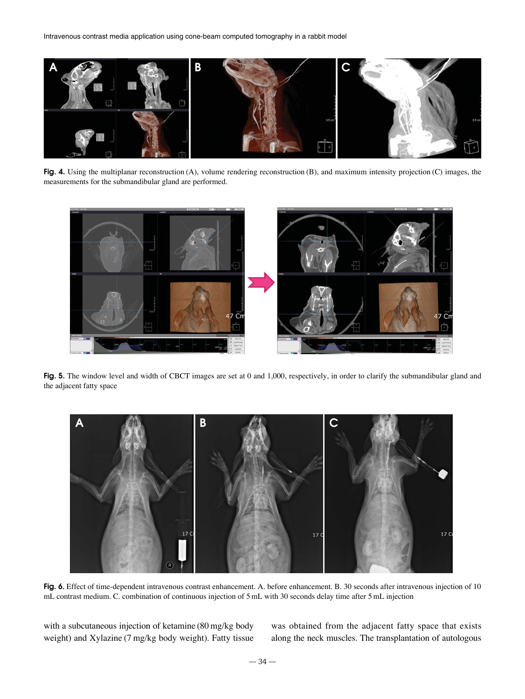

**Fig. 4.** Using the multiplanar reconstruction (A), volume rendering reconstruction (B), and maximum intensity projection (C) images, the measurements for the submandibular gland are performed.



Fig. 5. The window level and width of CBCT images are set at 0 and 1,000, respectively, in order to clarify the submandibular gland and the adjacent fatty space



**Fig. 6.** Effect of time-dependent intravenous contrast enhancement. A. before enhancement. B. 30 seconds after intravenous injection of 10 mL contrast medium. C. combination of continuous injection of 5 mL with 30 seconds delay time after 5 mL injection

with a subcutaneous injection of ketamine (80 mg/kg body weight) and Xylazine (7 mg/kg body weight). Fatty tissue was obtained from the adjacent fatty space that exists along the neck muscles. The transplantation of autologous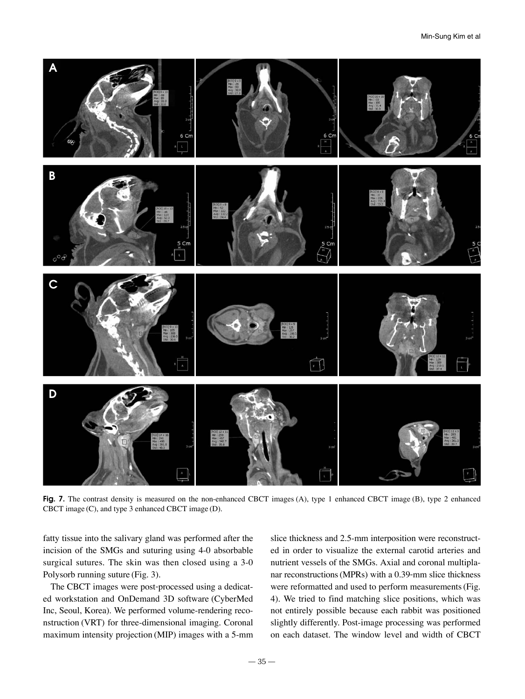

**Fig. 7.** The contrast density is measured on the non-enhanced CBCT images (A), type 1 enhanced CBCT image (B), type 2 enhanced CBCT image (C), and type 3 enhanced CBCT image (D).

fatty tissue into the salivary gland was performed after the incision of the SMGs and suturing using 4-0 absorbable surgical sutures. The skin was then closed using a 3-0 Polysorb running suture (Fig. 3).

The CBCT images were post-processed using a dedicated workstation and OnDemand 3D software (CyberMed Inc, Seoul, Korea). We performed volume-rendering reconstruction (VRT) for three-dimensional imaging. Coronal maximum intensity projection (MIP) images with a 5-mm

slice thickness and 2.5-mm interposition were reconstructed in order to visualize the external carotid arteries and nutrient vessels of the SMGs. Axial and coronal multiplanar reconstructions (MPRs) with a 0.39-mm slice thickness were reformatted and used to perform measurements (Fig. 4). We tried to find matching slice positions, which was not entirely possible because each rabbit was positioned slightly differently. Post-image processing was performed on each dataset. The window level and width of CBCT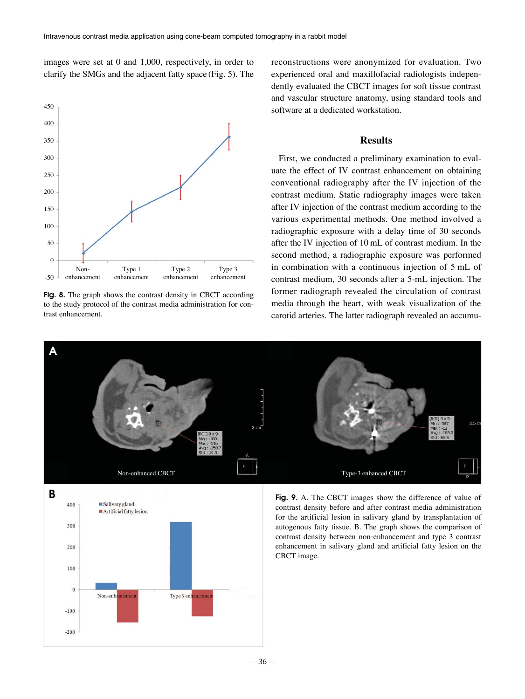images were set at 0 and 1,000, respectively, in order to clarify the SMGs and the adjacent fatty space (Fig. 5). The



**Fig. 8.** The graph shows the contrast density in CBCT according to the study protocol of the contrast media administration for contrast enhancement.

reconstructions were anonymized for evaluation. Two experienced oral and maxillofacial radiologists independently evaluated the CBCT images for soft tissue contrast and vascular structure anatomy, using standard tools and software at a dedicated workstation.

#### **Results**

First, we conducted a preliminary examination to evaluate the effect of IV contrast enhancement on obtaining conventional radiography after the IV injection of the contrast medium. Static radiography images were taken after IV injection of the contrast medium according to the various experimental methods. One method involved a radiographic exposure with a delay time of 30 seconds after the IV injection of 10 mL of contrast medium. In the second method, a radiographic exposure was performed in combination with a continuous injection of 5 mL of contrast medium, 30 seconds after a 5-mL injection. The former radiograph revealed the circulation of contrast media through the heart, with weak visualization of the carotid arteries. The latter radiograph revealed an accumu-



 $-36-$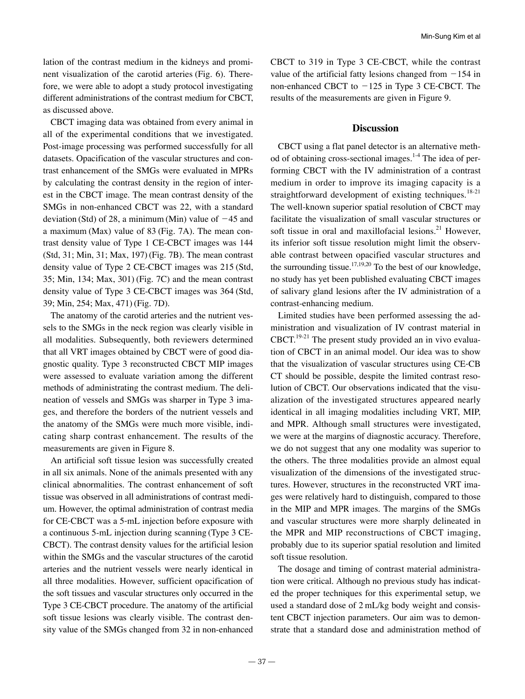lation of the contrast medium in the kidneys and prominent visualization of the carotid arteries (Fig. 6). Therefore, we were able to adopt a study protocol investigating different administrations of the contrast medium for CBCT, as discussed above.

CBCT imaging data was obtained from every animal in all of the experimental conditions that we investigated. Post-image processing was performed successfully for all datasets. Opacification of the vascular structures and contrast enhancement of the SMGs were evaluated in MPRs by calculating the contrast density in the region of interest in the CBCT image. The mean contrast density of the SMGs in non-enhanced CBCT was 22, with a standard deviation (Std) of 28, a minimum (Min) value of  $-45$  and a maximum (Max) value of 83 (Fig. 7A). The mean contrast density value of Type 1 CE-CBCT images was 144 (Std, 31; Min, 31; Max, 197) (Fig. 7B). The mean contrast density value of Type 2 CE-CBCT images was 215 (Std, 35; Min, 134; Max, 301) (Fig. 7C) and the mean contrast density value of Type 3 CE-CBCT images was 364 (Std, 39; Min, 254; Max, 471) (Fig. 7D).

The anatomy of the carotid arteries and the nutrient vessels to the SMGs in the neck region was clearly visible in all modalities. Subsequently, both reviewers determined that all VRT images obtained by CBCT were of good diagnostic quality. Type 3 reconstructed CBCT MIP images were assessed to evaluate variation among the different methods of administrating the contrast medium. The delineation of vessels and SMGs was sharper in Type 3 images, and therefore the borders of the nutrient vessels and the anatomy of the SMGs were much more visible, indicating sharp contrast enhancement. The results of the measurements are given in Figure 8.

An artificial soft tissue lesion was successfully created in all six animals. None of the animals presented with any clinical abnormalities. The contrast enhancement of soft tissue was observed in all administrations of contrast medium. However, the optimal administration of contrast media for CE-CBCT was a 5-mL injection before exposure with a continuous 5-mL injection during scanning (Type 3 CE-CBCT). The contrast density values for the artificial lesion within the SMGs and the vascular structures of the carotid arteries and the nutrient vessels were nearly identical in all three modalities. However, sufficient opacification of the soft tissues and vascular structures only occurred in the Type 3 CE-CBCT procedure. The anatomy of the artificial soft tissue lesions was clearly visible. The contrast density value of the SMGs changed from 32 in non-enhanced

CBCT to 319 in Type 3 CE-CBCT, while the contrast value of the artificial fatty lesions changed from  $-154$  in non-enhanced CBCT to  $-125$  in Type 3 CE-CBCT. The results of the measurements are given in Figure 9.

## **Discussion**

CBCT using a flat panel detector is an alternative method of obtaining cross-sectional images.<sup>1-4</sup> The idea of performing CBCT with the IV administration of a contrast medium in order to improve its imaging capacity is a straightforward development of existing techniques.<sup>18-21</sup> The well-known superior spatial resolution of CBCT may facilitate the visualization of small vascular structures or soft tissue in oral and maxillofacial lesions.<sup>21</sup> However, its inferior soft tissue resolution might limit the observable contrast between opacified vascular structures and the surrounding tissue.<sup>17,19,20</sup> To the best of our knowledge, no study has yet been published evaluating CBCT images of salivary gland lesions after the IV administration of a contrast-enhancing medium.

Limited studies have been performed assessing the administration and visualization of IV contrast material in  $CBCT$ <sup>19-21</sup>. The present study provided an in vivo evaluation of CBCT in an animal model. Our idea was to show that the visualization of vascular structures using CE-CB CT should be possible, despite the limited contrast resolution of CBCT. Our observations indicated that the visualization of the investigated structures appeared nearly identical in all imaging modalities including VRT, MIP, and MPR. Although small structures were investigated, we were at the margins of diagnostic accuracy. Therefore, we do not suggest that any one modality was superior to the others. The three modalities provide an almost equal visualization of the dimensions of the investigated structures. However, structures in the reconstructed VRT images were relatively hard to distinguish, compared to those in the MIP and MPR images. The margins of the SMGs and vascular structures were more sharply delineated in the MPR and MIP reconstructions of CBCT imaging, probably due to its superior spatial resolution and limited soft tissue resolution.

The dosage and timing of contrast material administration were critical. Although no previous study has indicated the proper techniques for this experimental setup, we used a standard dose of 2 mL/kg body weight and consistent CBCT injection parameters. Our aim was to demonstrate that a standard dose and administration method of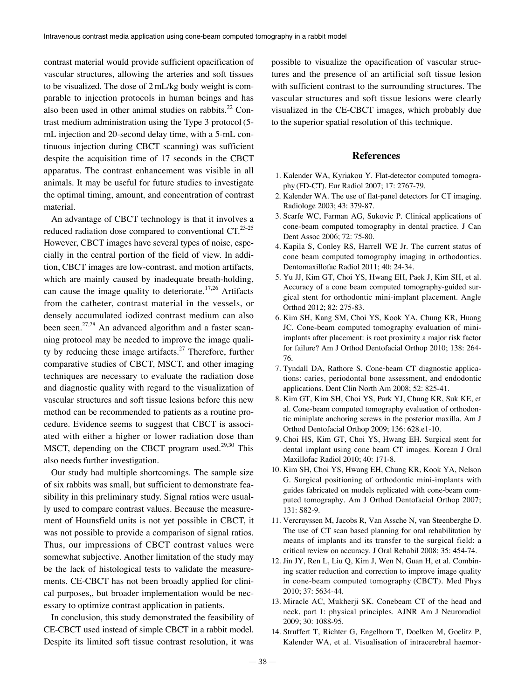contrast material would provide sufficient opacification of vascular structures, allowing the arteries and soft tissues to be visualized. The dose of 2 mL/kg body weight is comparable to injection protocols in human beings and has also been used in other animal studies on rabbits. $^{22}$  Contrast medium administration using the Type 3 protocol (5 mL injection and 20-second delay time, with a 5-mL continuous injection during CBCT scanning) was sufficient despite the acquisition time of 17 seconds in the CBCT apparatus. The contrast enhancement was visible in all animals. It may be useful for future studies to investigate the optimal timing, amount, and concentration of contrast material.

An advantage of CBCT technology is that it involves a reduced radiation dose compared to conventional  $CT<sup>23-25</sup>$ However, CBCT images have several types of noise, especially in the central portion of the field of view. In addition, CBCT images are low-contrast, and motion artifacts, which are mainly caused by inadequate breath-holding, can cause the image quality to deteriorate.<sup>17,26</sup> Artifacts from the catheter, contrast material in the vessels, or densely accumulated iodized contrast medium can also been seen.<sup>27,28</sup> An advanced algorithm and a faster scanning protocol may be needed to improve the image quality by reducing these image artifacts.<sup>27</sup> Therefore, further comparative studies of CBCT, MSCT, and other imaging techniques are necessary to evaluate the radiation dose and diagnostic quality with regard to the visualization of vascular structures and soft tissue lesions before this new method can be recommended to patients as a routine procedure. Evidence seems to suggest that CBCT is associated with either a higher or lower radiation dose than MSCT, depending on the CBCT program used.<sup>29,30</sup> This also needs further investigation.

Our study had multiple shortcomings. The sample size of six rabbits was small, but sufficient to demonstrate feasibility in this preliminary study. Signal ratios were usually used to compare contrast values. Because the measurement of Hounsfield units is not yet possible in CBCT, it was not possible to provide a comparison of signal ratios. Thus, our impressions of CBCT contrast values were somewhat subjective. Another limitation of the study may be the lack of histological tests to validate the measurements. CE-CBCT has not been broadly applied for clinical purposes,, but broader implementation would be necessary to optimize contrast application in patients.

In conclusion, this study demonstrated the feasibility of CE-CBCT used instead of simple CBCT in a rabbit model. Despite its limited soft tissue contrast resolution, it was

possible to visualize the opacification of vascular structures and the presence of an artificial soft tissue lesion with sufficient contrast to the surrounding structures. The vascular structures and soft tissue lesions were clearly visualized in the CE-CBCT images, which probably due to the superior spatial resolution of this technique.

### **References**

- 1. Kalender WA, Kyriakou Y. Flat-detector computed tomography (FD-CT). Eur Radiol 2007; 17: 2767-79.
- 2. Kalender WA. The use of flat-panel detectors for CT imaging. Radiologe 2003; 43: 379-87.
- 3. Scarfe WC, Farman AG, Sukovic P. Clinical applications of cone-beam computed tomography in dental practice. J Can Dent Assoc 2006; 72: 75-80.
- 4. Kapila S, Conley RS, Harrell WE Jr. The current status of cone beam computed tomography imaging in orthodontics. Dentomaxillofac Radiol 2011; 40: 24-34.
- 5. Yu JJ, Kim GT, Choi YS, Hwang EH, Paek J, Kim SH, et al. Accuracy of a cone beam computed tomography-guided surgical stent for orthodontic mini-implant placement. Angle Orthod 2012; 82: 275-83.
- 6. Kim SH, Kang SM, Choi YS, Kook YA, Chung KR, Huang JC. Cone-beam computed tomography evaluation of miniimplants after placement: is root proximity a major risk factor for failure? Am J Orthod Dentofacial Orthop 2010; 138: 264- 76.
- 7. Tyndall DA, Rathore S. Cone-beam CT diagnostic applications: caries, periodontal bone assessment, and endodontic applications. Dent Clin North Am 2008; 52: 825-41.
- 8. Kim GT, Kim SH, Choi YS, Park YJ, Chung KR, Suk KE, et al. Cone-beam computed tomography evaluation of orthodontic miniplate anchoring screws in the posterior maxilla. Am J Orthod Dentofacial Orthop 2009; 136: 628.e1-10.
- 9. Choi HS, Kim GT, Choi YS, Hwang EH. Surgical stent for dental implant using cone beam CT images. Korean J Oral Maxillofac Radiol 2010; 40: 171-8.
- 10. Kim SH, Choi YS, Hwang EH, Chung KR, Kook YA, Nelson G. Surgical positioning of orthodontic mini-implants with guides fabricated on models replicated with cone-beam computed tomography. Am J Orthod Dentofacial Orthop 2007; 131: S82-9.
- 11. Vercruyssen M, Jacobs R, Van Assche N, van Steenberghe D. The use of CT scan based planning for oral rehabilitation by means of implants and its transfer to the surgical field: a critical review on accuracy. J Oral Rehabil 2008; 35: 454-74.
- 12. Jin JY, Ren L, Liu Q, Kim J, Wen N, Guan H, et al. Combining scatter reduction and correction to improve image quality in cone-beam computed tomography (CBCT). Med Phys 2010; 37: 5634-44.
- 13. Miracle AC, Mukherji SK. Conebeam CT of the head and neck, part 1: physical principles. AJNR Am J Neuroradiol 2009; 30: 1088-95.
- 14. Struffert T, Richter G, Engelhorn T, Doelken M, Goelitz P, Kalender WA, et al. Visualisation of intracerebral haemor-